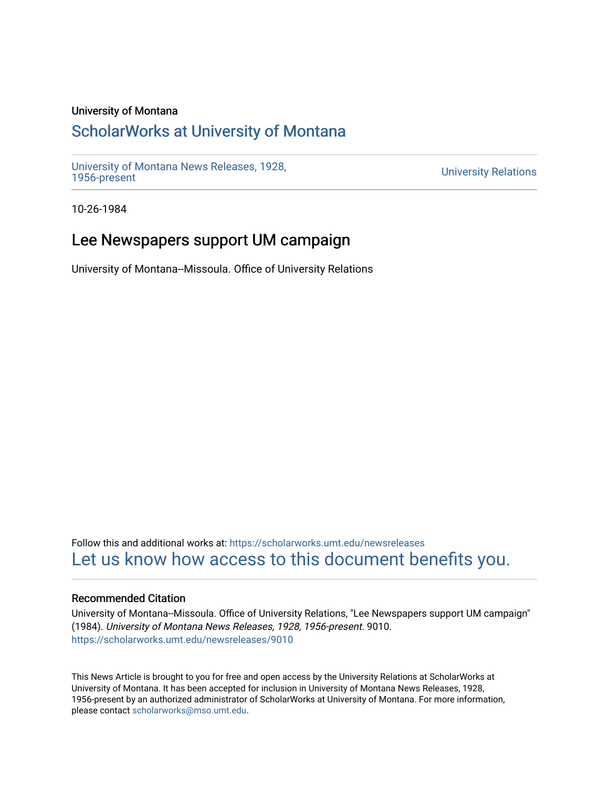### University of Montana

## [ScholarWorks at University of Montana](https://scholarworks.umt.edu/)

[University of Montana News Releases, 1928,](https://scholarworks.umt.edu/newsreleases) 

**University Relations** 

10-26-1984

# Lee Newspapers support UM campaign

University of Montana--Missoula. Office of University Relations

Follow this and additional works at: [https://scholarworks.umt.edu/newsreleases](https://scholarworks.umt.edu/newsreleases?utm_source=scholarworks.umt.edu%2Fnewsreleases%2F9010&utm_medium=PDF&utm_campaign=PDFCoverPages) [Let us know how access to this document benefits you.](https://goo.gl/forms/s2rGfXOLzz71qgsB2) 

#### Recommended Citation

University of Montana--Missoula. Office of University Relations, "Lee Newspapers support UM campaign" (1984). University of Montana News Releases, 1928, 1956-present. 9010. [https://scholarworks.umt.edu/newsreleases/9010](https://scholarworks.umt.edu/newsreleases/9010?utm_source=scholarworks.umt.edu%2Fnewsreleases%2F9010&utm_medium=PDF&utm_campaign=PDFCoverPages) 

This News Article is brought to you for free and open access by the University Relations at ScholarWorks at University of Montana. It has been accepted for inclusion in University of Montana News Releases, 1928, 1956-present by an authorized administrator of ScholarWorks at University of Montana. For more information, please contact [scholarworks@mso.umt.edu.](mailto:scholarworks@mso.umt.edu)